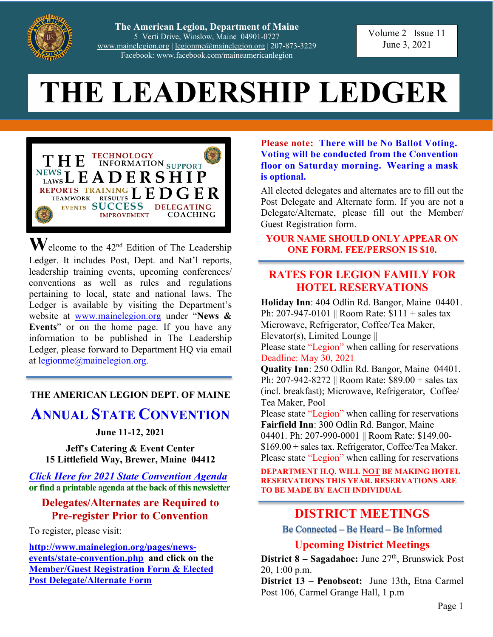

**The American Legion, Department of Maine** 5 Verti Drive, Winslow, Maine 04901-0727 [www.mainelegion.org](http://www.mainelegion.org/) | [legionme@mainelegion.org](mailto:legionme@mainelegion.org) | 207-873-3229 Facebook: www.facebook.com/maineamericanlegion

Volume 2 Issue 11 June 3, 2021

# **THE LEADERSHIP LEDGER**



**W**elcome to the 42nd Edition of The Leadership Ledger. It includes Post, Dept. and Nat'l reports, leadership training events, upcoming conferences/ conventions as well as rules and regulations pertaining to local, state and national laws. The Ledger is available by visiting the Department's website at [www.mainelegion.org](http://www.mainelegion.org/) under "**News & Events**" or on the home page. If you have any information to be published in The Leadership Ledger, please forward to Department HQ via email at [legionme@mainelegion.org.](mailto:legionme@mainelegion.org)

### **THE AMERICAN LEGION DEPT. OF MAINE**

## **ANNUAL STATE CONVENTION**

#### **June 11-12, 2021**

**Jeff's Catering & Event Center 15 Littlefield Way, Brewer, Maine 04412**

*[Click Here for 2021 State Convention Agenda](http://www.mainelegion.org/media/State_Convention/Agenda_2021.pdf)* **or find a printable agenda at the back of this newsletter**

#### **Delegates/Alternates are Required to Pre-register Prior to Convention**

To register, please visit:

**[http://www.mainelegion.org/pages/news](http://www.mainelegion.org/pages/news-events/state-convention.php)[events/state-convention.php](http://www.mainelegion.org/pages/news-events/state-convention.php) and click on the [Member/Guest Registration Form & Elected](http://www.mainelegion.org/media/Forms/STATECONVENTION_REGISTRATION_FORMS2021_-_FILLABLE3.pdf)  [Post Delegate/Alternate Form](http://www.mainelegion.org/media/Forms/STATECONVENTION_REGISTRATION_FORMS2021_-_FILLABLE3.pdf)**

#### **Please note: There will be No Ballot Voting. Voting will be conducted from the Convention floor on Saturday morning. Wearing a mask is optional.**

All elected delegates and alternates are to fill out the Post Delegate and Alternate form. If you are not a Delegate/Alternate, please fill out the Member/ Guest Registration form.

#### **YOUR NAME SHOULD ONLY APPEAR ON ONE FORM. FEE/PERSON IS \$10.**

### **RATES FOR LEGION FAMILY FOR HOTEL RESERVATIONS**

**Holiday Inn**: 404 Odlin Rd. Bangor, Maine 04401. Ph: 207-947-0101 || Room Rate: \$111 + sales tax Microwave, Refrigerator, Coffee/Tea Maker, Elevator(s), Limited Lounge ||

Please state "Legion" when calling for reservations Deadline: May 30, 2021

**Quality Inn**: 250 Odlin Rd. Bangor, Maine 04401. Ph: 207-942-8272 || Room Rate: \$89.00 + sales tax (incl. breakfast); Microwave, Refrigerator, Coffee/ Tea Maker, Pool

Please state "Legion" when calling for reservations **Fairfield Inn**: 300 Odlin Rd. Bangor, Maine 04401. Ph: 207-990-0001 || Room Rate: \$149.00- \$169.00 + sales tax. Refrigerator, Coffee/Tea Maker. Please state "Legion" when calling for reservations

**DEPARTMENT H.Q. WILL NOT BE MAKING HOTEL RESERVATIONS THIS YEAR. RESERVATIONS ARE TO BE MADE BY EACH INDIVIDUAL**

### **DISTRICT MEETINGS**

Be Connected – Be Heard – Be Informed

#### **Upcoming District Meetings**

**District 8 – Sagadahoc:** June 27<sup>th</sup>, Brunswick Post 20, 1:00 p.m.

**District 13 – Penobscot:** June 13th, Etna Carmel Post 106, Carmel Grange Hall, 1 p.m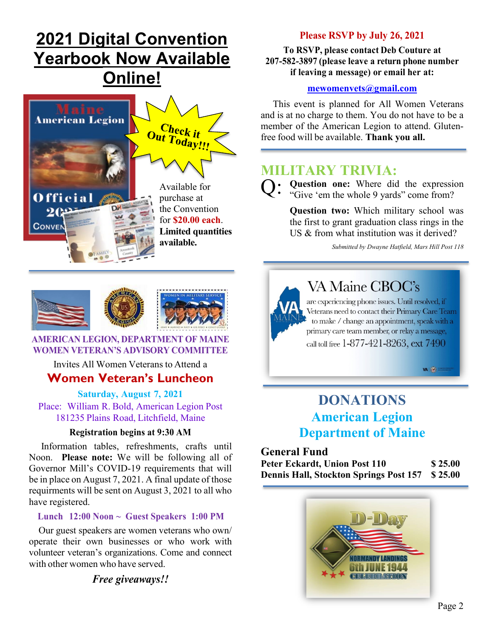# **[2021 Digital Convention](https://indd.adobe.com/view/9a3f816d-3838-4d55-99e3-c7a37f33ac0b)  Yearbook [Now Available](https://indd.adobe.com/view/9a3f816d-3838-4d55-99e3-c7a37f33ac0b)  [Online!](https://indd.adobe.com/view/9a3f816d-3838-4d55-99e3-c7a37f33ac0b)**



### **Please RSVP by July 26, 2021**

#### **To RSVP, please contact Deb Couture at 207-582-3897 (please leave a return phone number if leaving a message) or email her at:**

#### **[mewomenvets@gmail.com](mailto:mewomenvets@gmail.com)**

 This event is planned for All Women Veterans and is at no charge to them. You do not have to be a member of the American Legion to attend. Glutenfree food will be available. **Thank you all.**

### **MILITARY TRIVIA:**

**Question one:** Where did the expression "Give 'em the whole 9 yards" come from? Q:

> **Question two:** Which military school was the first to grant graduation class rings in the US & from what institution was it derived?

> > *Submitted by Dwayne Hatfield, Mars Hill Post 118*

![](_page_1_Picture_10.jpeg)

#### **AMERICAN LEGION, DEPARTMENT OF MAINE WOMEN VETERAN'S ADVISORY COMMITTEE**

### Invites All Women Veterans to Attend a **Women Veteran's Luncheon**

**Saturday, August 7, 2021** Place: William R. Bold, American Legion Post 181235 Plains Road, Litchfield, Maine

#### **Registration begins at 9:30 AM**

 Information tables, refreshments, crafts until Noon. **Please note:** We will be following all of Governor Mill's COVID-19 requirements that will be in place on August 7, 2021. A final update of those requirments will be sent on August 3, 2021 to all who have registered.

#### **Lunch 12:00 Noon ~ Guest Speakers 1:00 PM**

 Our guest speakers are women veterans who own/ operate their own businesses or who work with volunteer veteran's organizations. Come and connect with other women who have served.

*Free giveaways!!*

![](_page_1_Picture_19.jpeg)

## **VA Maine CBOC's**

are experiencing phone issues. Until resolved, if Veterans need to contact their Primary Care Team to make / change an appointment, speak with a primary care team member, or relay a message, call toll free 1-877-421-8263, ext 7490

 $VA$   $\circledcirc$ 

# **DONATIONS American Legion Department of Maine**

**General Fund**

**Peter Eckardt, Union Post 110 \$ 25.00 Dennis Hall, Stockton Springs Post 157 \$ 25.00**

![](_page_1_Picture_26.jpeg)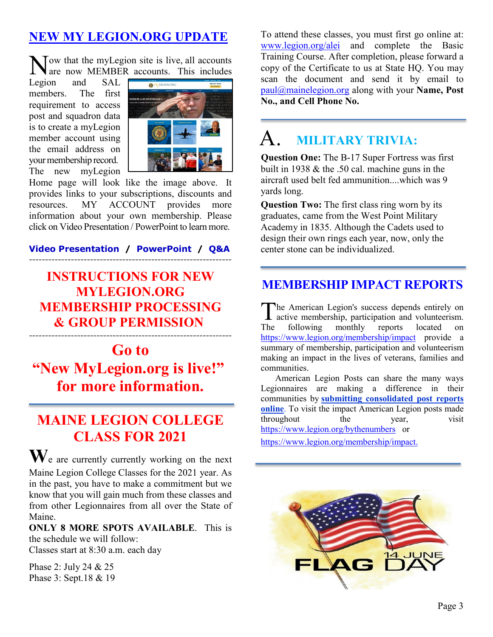### **[NEW MY LEGION.ORG UPDATE](https://vimeo.com/518232870)**

Now that the myLegion site is live, all accounts<br>are now MEMBER accounts. This includes are now MEMBER accounts. This includes

Legion and SAL members. The first requirement to access post and squadron data is to create a myLegion member account using the email address on your membership record. The new myLegion

![](_page_2_Picture_3.jpeg)

Home page will look like the image above. It provides links to your subscriptions, discounts and resources. MY ACCOUNT provides more information about your own membership. Please click on Video Presentation / PowerPoint to learn more.

**[Video Presentation](https://vimeo.com/518232870) / [PowerPoint](https://www.legion.org/documents/training/training-tuesdays/PPT_MyLegion_Update_Membership_Processing.pptx) / [Q&A](https://www.legion.org/training/251904/training-tuesday-mylegion-update-membership-processing-qa)** ---------------------------------------------------------------

### **[INSTRUCTIONS](http://www.mainelegion.org/media/Membership/new_membership_program_instructions1.pdf) FOR NEW [MYLEGION.ORG](http://www.mainelegion.org/media/Membership/new_membership_program_instructions1.pdf) [MEMBERSHIP](http://www.mainelegion.org/media/Membership/new_membership_program_instructions1.pdf) PROCESSING & GROUP [PERMISSION](http://www.mainelegion.org/media/Membership/new_membership_program_instructions1.pdf)** ---------------------------------------------------------------

# **Go to ["New MyLegion.org is live!"](https://www.legion.org/membership/252152/new-mylegionorg-live) for more information.**

# **MAINE LEGION COLLEGE CLASS FOR 2021**

**W**e are currently currently working on the next Maine Legion College Classes for the 2021 year. As in the past, you have to make a commitment but we know that you will gain much from these classes and from other Legionnaires from all over the State of Maine.

**ONLY 8 MORE SPOTS AVAILABLE**. This is the schedule we will follow: Classes start at 8:30 a.m. each day

Phase 2: July 24 & 25 Phase 3: Sept.18 & 19 To attend these classes, you must first go online at: [www.legion.org/alei](http://www.legion.org/alei) and complete the Basic Training Course. After completion, please forward a copy of the Certificate to us at State HQ. You may scan the document and send it by email to [paul@mainelegion.org](mailto:paul@mainelegion.org) along with your **Name, Post No., and Cell Phone No.** 

#### **MILITARY TRIVIA:**  A.

**Question One:** The B-17 Super Fortress was first built in 1938 & the .50 cal. machine guns in the aircraft used belt fed ammunition....which was 9 yards long.

**Question Two:** The first class ring worn by its graduates, came from the West Point Military Academy in 1835. Although the Cadets used to design their own rings each year, now, only the center stone can be individualized.

### **[MEMBERSHIP IMPACT REPORTS](https://www.legion.org/membership/impact)**

he American Legion's success depends entirely on The American Legion's success depends entirely on active membership, participation and volunteerism. The following monthly reports located on <https://www.legion.org/membership/impact> provide a summary of membership, participation and volunteerism making an impact in the lives of veterans, families and communities.

American Legion Posts can share the many ways Legionnaires are making a difference in their communities by **[submitting consolidated post reports](http://www.mylegion.org/)  [online](http://www.mylegion.org/)**. To visit the impact American Legion posts made throughout the year, visit <https://www.legion.org/bythenumbers>or

[https://www.legion.org/membership/impact.](https://www.legion.org/membership/impact)

![](_page_2_Picture_20.jpeg)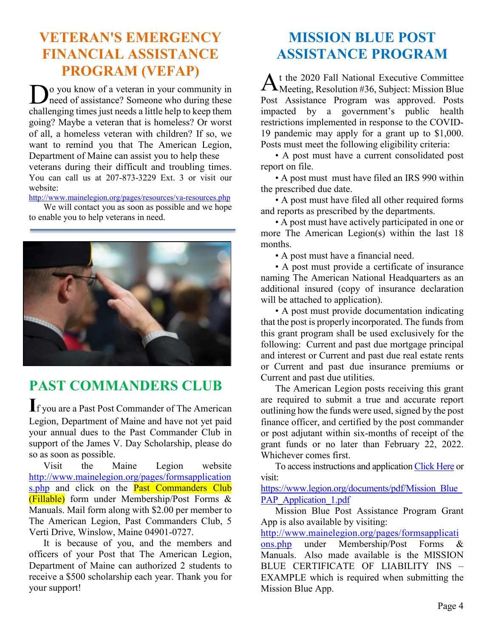# **VETERAN'S EMERGENCY FINANCIAL ASSISTANCE PROGRAM (VEFAP)**

o you know of a veteran in your community in need of assistance? Someone who during these Post challenging times just needs a little help to keep them going? Maybe a veteran that is homeless? Or worst of all, a homeless veteran with children? If so, we want to remind you that The American Legion, Department of Maine can assist you to help these veterans during their difficult and troubling times. You can call us at 207-873-3229 Ext. 3 or visit our website:

http://www[.mainelegion.org/](http://www.mainelegion.org/pages/resources/va-resources.php)pages/resources/va[-resources.](http://www.mainelegion.org/pages/resources/va-resources.php)php

We will contact you as soon as possible and we hope to enable you to help veterans in need.

![](_page_3_Picture_4.jpeg)

## **PAST COMMANDERS CLUB**

**I**f you are a Past Post Commander of The American Legion, Department of Maine and have not yet paid your annual dues to the Past Commander Club in support of the James V. Day Scholarship, please do so as soon as possible.

Visit the Maine Legion website [http://www.mainelegion.org/pages/formsapplication](http://www.mainelegion.org/pages/formsapplications.php) [s.php](http://www.mainelegion.org/pages/formsapplications.php) and click on the **Past Commanders Club** (Fillable) form under Membership/Post Forms & Manuals. Mail form along with \$2.00 per member to The American Legion, Past Commanders Club, 5 Verti Drive, Winslow, Maine 04901-0727.

It is because of you, and the members and officers of your Post that The American Legion, Department of Maine can authorized 2 students to receive a \$500 scholarship each year. Thank you for your support!

# **MISSION BLUE POST ASSISTANCE PROGRAM**

t the 2020 Fall National Executive Committee  $\bm{\mathcal{H}}$ Meeting, Resolution #36, Subject: Mission Blue Post Assistance Program was approved. Posts impacted by a government's public health restrictions implemented in response to the COVID-19 pandemic may apply for a grant up to \$1,000. Posts must meet the following eligibility criteria:

• A post must have a current consolidated post report on file.

• A post must must have filed an IRS 990 within the prescribed due date.

• A post must have filed all other required forms and reports as prescribed by the departments.

• A post must have actively participated in one or more The American Legion(s) within the last 18 months.

• A post must have a financial need.

• A post must provide a certificate of insurance naming The American National Headquarters as an additional insured (copy of insurance declaration will be attached to application).

• A post must provide documentation indicating that the post is properly incorporated. The funds from this grant program shall be used exclusively for the following: Current and past due mortgage principal and interest or Current and past due real estate rents or Current and past due insurance premiums or Current and past due utilities.

The American Legion posts receiving this grant are required to submit a true and accurate report outlining how the funds were used, signed by the post finance officer, and certified by the post commander or post adjutant within six-months of receipt of the grant funds or no later than February 22, 2022. Whichever comes first.

To access instructions and application [Click Here](https://www.legion.org/documents/pdf/Mission_Blue_PAP_Application_1.pdf) or visit:

[https://www.legion.org/documents/pdf/Mission\\_Blue\\_](https://www.legion.org/documents/pdf/Mission_Blue_PAP_Application_1.pdf) [PAP\\_Application\\_1.pdf](https://www.legion.org/documents/pdf/Mission_Blue_PAP_Application_1.pdf)

Mission Blue Post Assistance Program Grant App is also available by visiting:

[http://www.mainelegion.org/pages/formsapplicati](http://www.mainelegion.org/pages/formsapplications.php)

[ons.php](http://www.mainelegion.org/pages/formsapplications.php) under Membership/Post Forms & Manuals. Also made available is the MISSION BLUE CERTIFICATE OF LIABILITY INS – EXAMPLE which is required when submitting the Mission Blue App.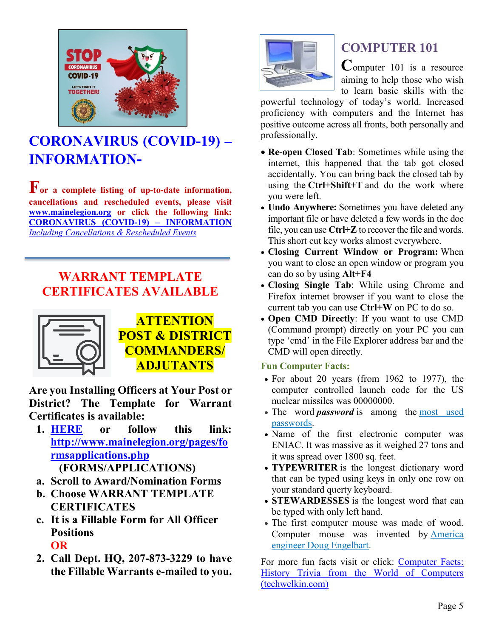![](_page_4_Picture_0.jpeg)

# **[CORONAVIRUS \(COVID-19\) –](http://www.mainelegion.org/pages/news-events/covid-19-info.php) [INFORMATION-](http://www.mainelegion.org/pages/news-events/covid-19-info.php)**

**For a complete listing of up-to-date information, cancellations and rescheduled events, please visit [www.mainelegion.org](http://www.mainelegion.org/) or click the following link: [CORONAVIRUS \(COVID-19\) –](http://www.mainelegion.org/pages/news-events/covid-19-info.php) INFORMATION**  *[Including Cancellations & Rescheduled Events](http://www.mainelegion.org/pages/news-events/covid-19-info.php)*

## **WARRANT TEMPLATE CERTIFICATES AVAILABLE**

![](_page_4_Picture_4.jpeg)

**ATTENTION POST & DISTRICT COMMANDERS/ ADJUTANTS**

**Are you Installing Officers at Your Post or District? The Template for Warrant Certificates is available:**

- **1. [HERE](http://www.mainelegion.org/pages/formsapplications.php) or follow this link: [http://www.mainelegion.org/pages/fo](http://www.mainelegion.org/pages/formsapplications.php) [rmsapplications.php](http://www.mainelegion.org/pages/formsapplications.php) (FORMS/APPLICATIONS)**
- **a. Scroll to Award/Nomination Forms**
- **b. Choose WARRANT TEMPLATE CERTIFICATES**
- **c. It is a Fillable Form for All Officer Positions OR**
- **2. Call Dept. HQ, 207-873-3229 to have the Fillable Warrants e-mailed to you.**

![](_page_4_Picture_12.jpeg)

## **COMPUTER 101**

**C**omputer 101 is a resource aiming to help those who wish to learn basic skills with the

powerful technology of today's world. Increased proficiency with computers and the Internet has positive outcome across all fronts, both personally and professionally.

- **Re-open Closed Tab**: Sometimes while using the internet, this happened that the tab got closed accidentally. You can bring back the closed tab by using the **Ctrl+Shift+T** and do the work where you were left.
- **Undo Anywhere:** Sometimes you have deleted any important file or have deleted a few words in the doc file, you can use **Ctrl+Z** to recover the file and words. This short cut key works almost everywhere.
- **Closing Current Window or Program:** When you want to close an open window or program you can do so by using **Alt+F4**
- **Closing Single Tab**: While using Chrome and Firefox internet browser if you want to close the current tab you can use **Ctrl+W** on PC to do so.
- **Open CMD Directly**: If you want to use CMD (Command prompt) directly on your PC you can type 'cmd' in the File Explorer address bar and the CMD will open directly.

#### **Fun Computer Facts:**

- For about 20 years (from 1962 to 1977), the computer controlled launch code for the US nuclear missiles was 00000000.
- The word **password** is among the most used [passwords.](https://techwelkin.com/25-worst-passwords-2012)
- Name of the first electronic computer was ENIAC. It was massive as it weighed 27 tons and it was spread over 1800 sq. feet.
- **TYPEWRITER** is the longest dictionary word that can be typed using keys in only one row on your standard querty keyboard.
- **STEWARDESSES** is the longest word that can be typed with only left hand.
- The first computer mouse was made of wood. Computer mouse was invented by **America** [engineer Doug Engelbart.](https://en.wikipedia.org/wiki/Douglas_Engelbart)

For more fun facts visit or click: [Computer Facts:](https://techwelkin.com/computer-facts-history-trivia)  [History Trivia from the World of Computers](https://techwelkin.com/computer-facts-history-trivia)  [\(techwelkin.com\)](https://techwelkin.com/computer-facts-history-trivia)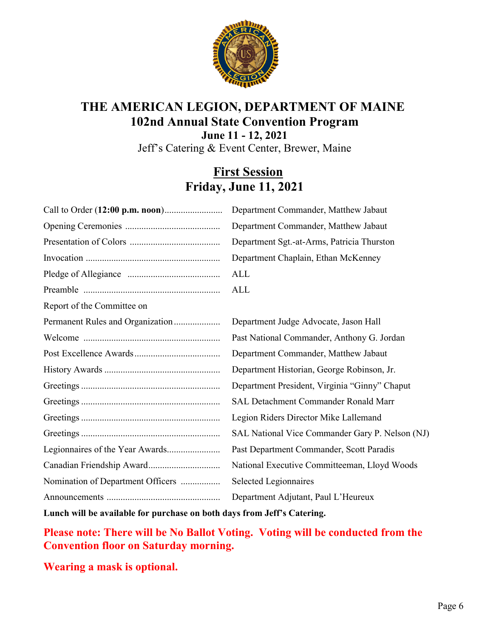![](_page_5_Picture_0.jpeg)

# **THE AMERICAN LEGION, DEPARTMENT OF MAINE 102nd Annual State Convention Program**

**June 11 - 12, 2021** Jeff's Catering & Event Center, Brewer, Maine

### **First Session Friday, June 11, 2021**

| Department Commander, Matthew Jabaut            |
|-------------------------------------------------|
| Department Commander, Matthew Jabaut            |
| Department Sgt.-at-Arms, Patricia Thurston      |
| Department Chaplain, Ethan McKenney             |
| <b>ALL</b>                                      |
| ALL                                             |
|                                                 |
| Department Judge Advocate, Jason Hall           |
| Past National Commander, Anthony G. Jordan      |
| Department Commander, Matthew Jabaut            |
| Department Historian, George Robinson, Jr.      |
| Department President, Virginia "Ginny" Chaput   |
| SAL Detachment Commander Ronald Marr            |
| Legion Riders Director Mike Lallemand           |
| SAL National Vice Commander Gary P. Nelson (NJ) |
| Past Department Commander, Scott Paradis        |
| National Executive Committeeman, Lloyd Woods    |
| Selected Legionnaires                           |
| Department Adjutant, Paul L'Heureux             |
|                                                 |

**Lunch will be available for purchase on both days from Jeff's Catering.**

**Please note: There will be No Ballot Voting. Voting will be conducted from the Convention floor on Saturday morning.** 

**Wearing a mask is optional.**